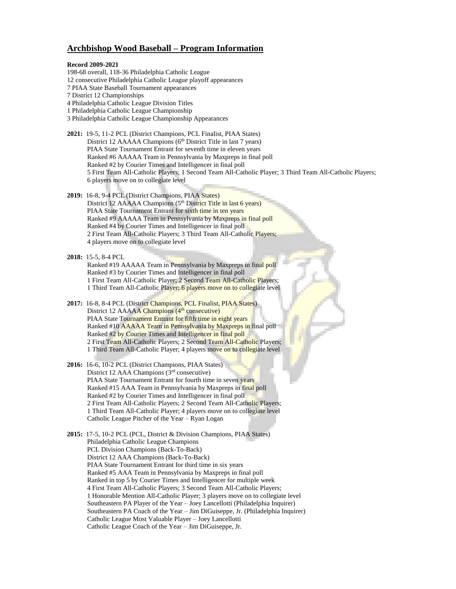## **Archbishop Wood Baseball – Program Information**

## **Record 2009-2021**

- 198-68 overall, 118-36 Philadelphia Catholic League
- 12 consecutive Philadelphia Catholic League playoff appearances
- 7 PIAA State Baseball Tournament appearances
- 7 District 12 Championships
- 4 Philadelphia Catholic League Division Titles
- 1 Philadelphia Catholic League Championship
- 3 Philadelphia Catholic League Championship Appearances
- **2021:** 19-5, 11-2 PCL (District Champions, PCL Finalist, PIAA States) District 12 AAAAA Champions (6<sup>th</sup> District Title in last 7 years) PIAA State Tournament Entrant for seventh time in eleven years Ranked #6 AAAAA Team in Pennsylvania by Maxpreps in final poll Ranked #2 by Courier Times and Intelligencer in final poll 5 First Team All-Catholic Players; 1 Second Team All-Catholic Player; 3 Third Team All-Catholic Players; 6 players move on to collegiate level
- **2019:** 16-8, 9-4 PCL (District Champions, PIAA States) District 12 AAAAA Champions (5<sup>th</sup> District Title in last 6 years) PIAA State Tournament Entrant for sixth time in ten years Ranked #9 AAAAA Team in Pennsylvania by Maxpreps in final poll Ranked #4 by Courier Times and Intelligencer in final poll 2 First Team All-Catholic Players; 3 Third Team All-Catholic Players; 4 players move on to collegiate level
- **2018:** 15-5, 8-4 PCL Ranked #19 AAAAA Team in Pennsylvania by Maxpreps in final poll Ranked #3 by Courier Times and Intelligencer in final poll 1 First Team All-Catholic Player; 2 Second Team All-Catholic Players; 1 Third Team All-Catholic Player; 6 players move on to collegiate level
- **2017:** 16-8, 8-4 PCL (District Champions, PCL Finalist, PIAA States) District 12 AAAAA Champions (4<sup>th</sup> consecutive) PIAA State Tournament Entrant for fifth time in eight years Ranked #10 AAAAA Team in Pennsylvania by Maxpreps in final poll Ranked #2 by Courier Times and Intelligencer in final poll 2 First Team All-Catholic Players; 2 Second Team All-Catholic Players; 1 Third Team All-Catholic Player; 4 players move on to collegiate level
- **2016:** 16-6, 10-2 PCL (District Champions, PIAA States) District 12 AAA Champions (3<sup>rd</sup> consecutive) PIAA State Tournament Entrant for fourth time in seven years Ranked #15 AAA Team in Pennsylvania by Maxpreps in final poll Ranked #2 by Courier Times and Intelligencer in final poll 2 First Team All-Catholic Players; 2 Second Team All-Catholic Players; 1 Third Team All-Catholic Player; 4 players move on to collegiate level Catholic League Pitcher of the Year – Ryan Logan

**2015:** 17-5, 10-2 PCL (PCL, District & Division Champions, PIAA States) Philadelphia Catholic League Champions PCL Division Champions (Back-To-Back) District 12 AAA Champions (Back-To-Back) PIAA State Tournament Entrant for third time in six years Ranked #5 AAA Team in Pennsylvania by Maxpreps in final poll Ranked in top 5 by Courier Times and Intelligencer for multiple week 4 First Team All-Catholic Players; 3 Second Team All-Catholic Players; 1 Honorable Mention All-Catholic Player; 3 players move on to collegiate level Southeastern PA Player of the Year – Joey Lancellotti (Philadelphia Inquirer) Southeastern PA Coach of the Year – Jim DiGuiseppe, Jr. (Philadelphia Inquirer) Catholic League Most Valuable Player – Joey Lancellotti Catholic League Coach of the Year – Jim DiGuiseppe, Jr.